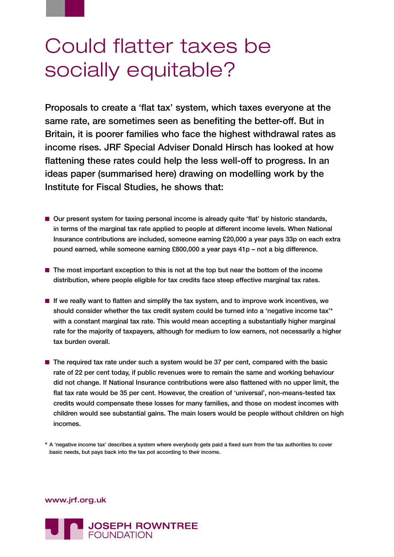## Could flatter taxes be socially equitable?

Proposals to create a 'flat tax' system, which taxes everyone at the same rate, are sometimes seen as benefiting the better-off. But in Britain, it is poorer families who face the highest withdrawal rates as income rises. JRF Special Adviser Donald Hirsch has looked at how flattening these rates could help the less well-off to progress. In an ideas paper (summarised here) drawing on modelling work by the Institute for Fiscal Studies, he shows that:

- Our present system for taxing personal income is already quite 'flat' by historic standards, in terms of the marginal tax rate applied to people at different income levels. When National Insurance contributions are included, someone earning £20,000 a year pays 33p on each extra pound earned, while someone earning £800,000 a year pays 41p – not a big difference.
- The most important exception to this is not at the top but near the bottom of the income distribution, where people eligible for tax credits face steep effective marginal tax rates.
- If we really want to flatten and simplify the tax system, and to improve work incentives, we should consider whether the tax credit system could be turned into a 'negative income tax'\* with a constant marginal tax rate. This would mean accepting a substantially higher marginal rate for the majority of taxpayers, although for medium to low earners, not necessarily a higher tax burden overall.
- The required tax rate under such a system would be 37 per cent, compared with the basic rate of 22 per cent today, if public revenues were to remain the same and working behaviour did not change. If National Insurance contributions were also flattened with no upper limit, the flat tax rate would be 35 per cent. However, the creation of 'universal', non-means-tested tax credits would compensate these losses for many families, and those on modest incomes with children would see substantial gains. The main losers would be people without children on high incomes.

\* A 'negative income tax' describes a system where everybody gets paid a fixed sum from the tax authorities to cover basic needs, but pays back into the tax pot according to their income.

www.jrf.org.uk